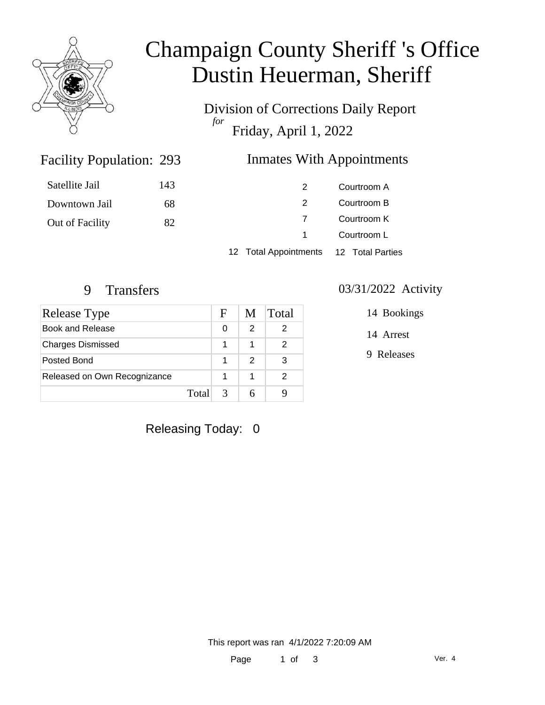

# Champaign County Sheriff 's Office Dustin Heuerman, Sheriff

Division of Corrections Daily Report *for* Friday, April 1, 2022

## Inmates With Appointments

| Satellite Jail  | 143 |                                        | Courtroom A |  |
|-----------------|-----|----------------------------------------|-------------|--|
| Downtown Jail   | 68  |                                        | Courtroom B |  |
| Out of Facility | 82  |                                        | Courtroom K |  |
|                 |     | $\sim$ 1                               | Courtroom L |  |
|                 |     | 12 Total Appointments 12 Total Parties |             |  |

Facility Population: 293

| Release Type                 |       | F             | M | Total |
|------------------------------|-------|---------------|---|-------|
| Book and Release             |       | 0             | 2 |       |
| <b>Charges Dismissed</b>     |       |               |   |       |
| Posted Bond                  |       | 1             | 2 | 3     |
| Released on Own Recognizance |       |               | 1 | 2     |
|                              | Total | $\mathcal{R}$ | 6 |       |

#### 9 Transfers 03/31/2022 Activity

14 Bookings

14 Arrest

9 Releases

Releasing Today: 0

This report was ran 4/1/2022 7:20:09 AM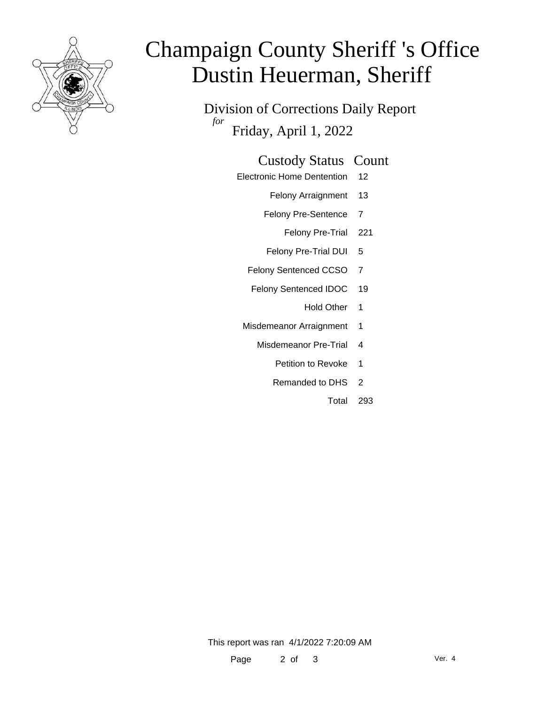

# Champaign County Sheriff 's Office Dustin Heuerman, Sheriff

Division of Corrections Daily Report *for* Friday, April 1, 2022

### Custody Status Count

- Electronic Home Dentention 12
	- Felony Arraignment 13
	- Felony Pre-Sentence 7
		- Felony Pre-Trial 221
	- Felony Pre-Trial DUI 5
	- Felony Sentenced CCSO 7
	- Felony Sentenced IDOC 19
		- Hold Other 1
	- Misdemeanor Arraignment 1
		- Misdemeanor Pre-Trial 4
			- Petition to Revoke 1
			- Remanded to DHS 2
				- Total 293

This report was ran 4/1/2022 7:20:09 AM